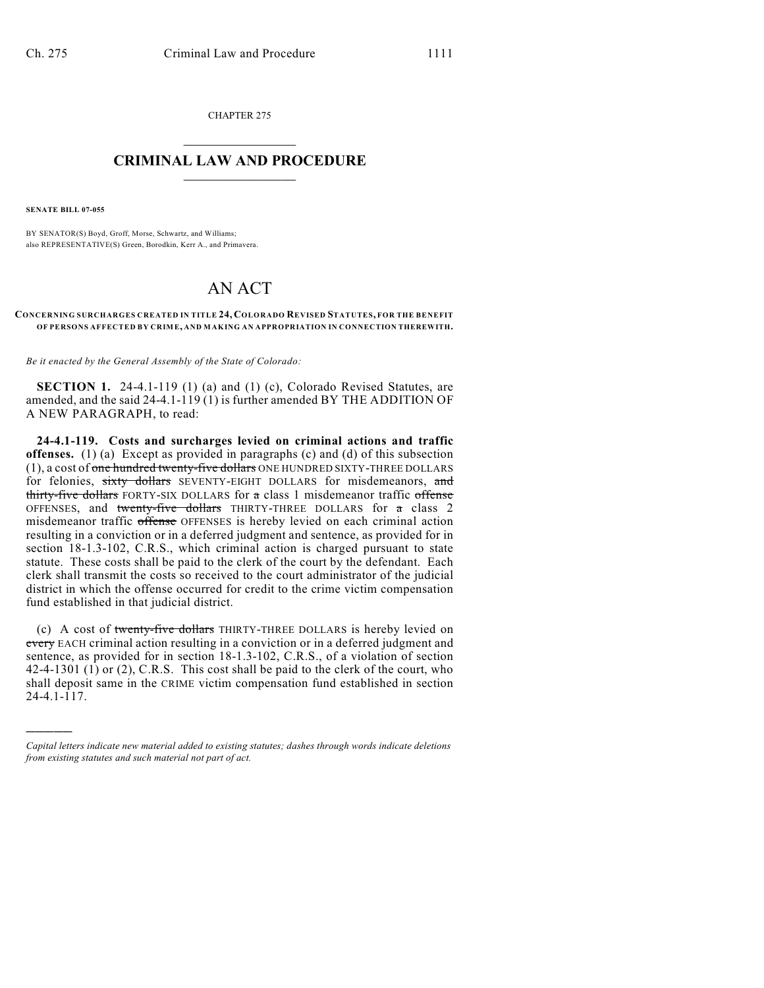CHAPTER 275  $\mathcal{L}_\text{max}$  . The set of the set of the set of the set of the set of the set of the set of the set of the set of the set of the set of the set of the set of the set of the set of the set of the set of the set of the set

#### **CRIMINAL LAW AND PROCEDURE**  $\_$

**SENATE BILL 07-055**

)))))

BY SENATOR(S) Boyd, Groff, Morse, Schwartz, and Williams; also REPRESENTATIVE(S) Green, Borodkin, Kerr A., and Primavera.

# AN ACT

#### **CONCERNING SURCHARGES CREATED IN TITLE 24, COLORADO REVISED STATUTES, FOR THE BENEFIT OF PERSONS AFFECTED BY CRIM E, AND MAKING AN APPROPRIATION IN CONNECTION THEREWITH.**

*Be it enacted by the General Assembly of the State of Colorado:*

**SECTION 1.** 24-4.1-119 (1) (a) and (1) (c), Colorado Revised Statutes, are amended, and the said 24-4.1-119 (1) is further amended BY THE ADDITION OF A NEW PARAGRAPH, to read:

**24-4.1-119. Costs and surcharges levied on criminal actions and traffic offenses.** (1) (a) Except as provided in paragraphs (c) and (d) of this subsection (1), a cost of one hundred twenty-five dollars ONE HUNDRED SIXTY-THREE DOLLARS for felonies, sixty dollars SEVENTY-EIGHT DOLLARS for misdemeanors, and thirty-five dollars FORTY-SIX DOLLARS for a class 1 misdemeanor traffic offense OFFENSES, and twenty-five dollars THIRTY-THREE DOLLARS for a class 2 misdemeanor traffic offense OFFENSES is hereby levied on each criminal action resulting in a conviction or in a deferred judgment and sentence, as provided for in section 18-1.3-102, C.R.S., which criminal action is charged pursuant to state statute. These costs shall be paid to the clerk of the court by the defendant. Each clerk shall transmit the costs so received to the court administrator of the judicial district in which the offense occurred for credit to the crime victim compensation fund established in that judicial district.

(c) A cost of twenty-five dollars THIRTY-THREE DOLLARS is hereby levied on every EACH criminal action resulting in a conviction or in a deferred judgment and sentence, as provided for in section 18-1.3-102, C.R.S., of a violation of section 42-4-1301 (1) or (2), C.R.S. This cost shall be paid to the clerk of the court, who shall deposit same in the CRIME victim compensation fund established in section 24-4.1-117.

*Capital letters indicate new material added to existing statutes; dashes through words indicate deletions from existing statutes and such material not part of act.*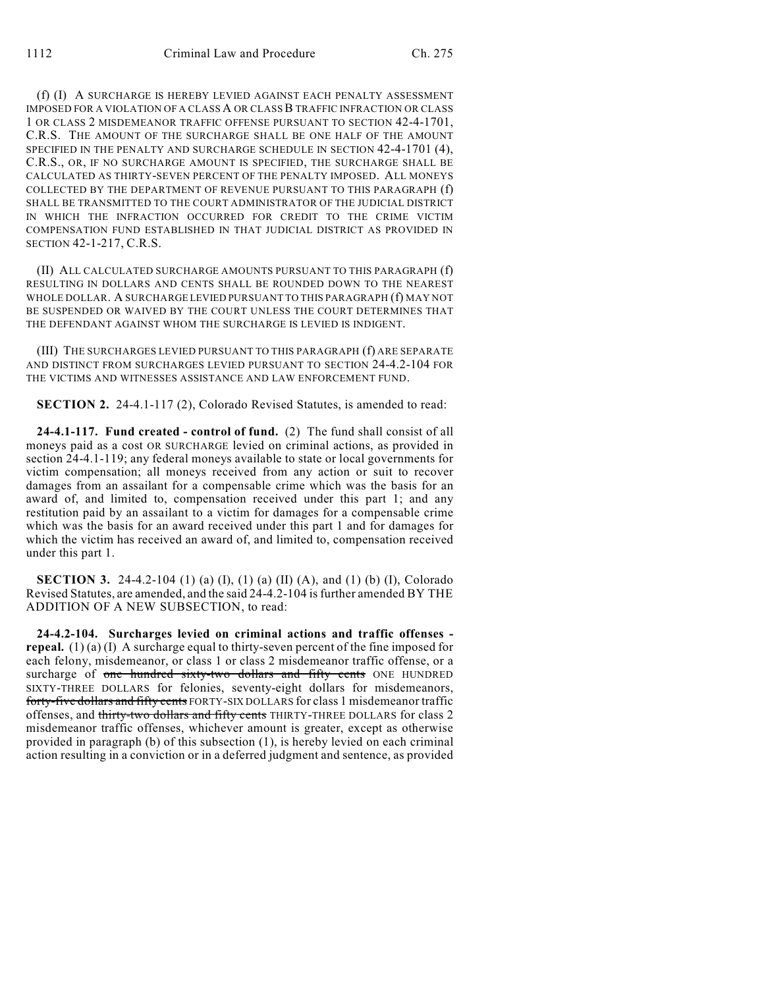(f) (I) A SURCHARGE IS HEREBY LEVIED AGAINST EACH PENALTY ASSESSMENT IMPOSED FOR A VIOLATION OF A CLASS A OR CLASS B TRAFFIC INFRACTION OR CLASS 1 OR CLASS 2 MISDEMEANOR TRAFFIC OFFENSE PURSUANT TO SECTION 42-4-1701, C.R.S. THE AMOUNT OF THE SURCHARGE SHALL BE ONE HALF OF THE AMOUNT SPECIFIED IN THE PENALTY AND SURCHARGE SCHEDULE IN SECTION 42-4-1701 (4), C.R.S., OR, IF NO SURCHARGE AMOUNT IS SPECIFIED, THE SURCHARGE SHALL BE CALCULATED AS THIRTY-SEVEN PERCENT OF THE PENALTY IMPOSED. ALL MONEYS COLLECTED BY THE DEPARTMENT OF REVENUE PURSUANT TO THIS PARAGRAPH (f) SHALL BE TRANSMITTED TO THE COURT ADMINISTRATOR OF THE JUDICIAL DISTRICT IN WHICH THE INFRACTION OCCURRED FOR CREDIT TO THE CRIME VICTIM COMPENSATION FUND ESTABLISHED IN THAT JUDICIAL DISTRICT AS PROVIDED IN SECTION 42-1-217, C.R.S.

(II) ALL CALCULATED SURCHARGE AMOUNTS PURSUANT TO THIS PARAGRAPH (f) RESULTING IN DOLLARS AND CENTS SHALL BE ROUNDED DOWN TO THE NEAREST WHOLE DOLLAR. A SURCHARGE LEVIED PURSUANT TO THIS PARAGRAPH (f) MAY NOT BE SUSPENDED OR WAIVED BY THE COURT UNLESS THE COURT DETERMINES THAT THE DEFENDANT AGAINST WHOM THE SURCHARGE IS LEVIED IS INDIGENT.

(III) THE SURCHARGES LEVIED PURSUANT TO THIS PARAGRAPH (f) ARE SEPARATE AND DISTINCT FROM SURCHARGES LEVIED PURSUANT TO SECTION 24-4.2-104 FOR THE VICTIMS AND WITNESSES ASSISTANCE AND LAW ENFORCEMENT FUND.

**SECTION 2.** 24-4.1-117 (2), Colorado Revised Statutes, is amended to read:

**24-4.1-117. Fund created - control of fund.** (2) The fund shall consist of all moneys paid as a cost OR SURCHARGE levied on criminal actions, as provided in section 24-4.1-119; any federal moneys available to state or local governments for victim compensation; all moneys received from any action or suit to recover damages from an assailant for a compensable crime which was the basis for an award of, and limited to, compensation received under this part 1; and any restitution paid by an assailant to a victim for damages for a compensable crime which was the basis for an award received under this part 1 and for damages for which the victim has received an award of, and limited to, compensation received under this part 1.

**SECTION 3.** 24-4.2-104 (1) (a) (I), (1) (a) (II) (A), and (1) (b) (I), Colorado Revised Statutes, are amended, and the said 24-4.2-104 is further amended BY THE ADDITION OF A NEW SUBSECTION, to read:

**24-4.2-104. Surcharges levied on criminal actions and traffic offenses repeal.** (1) (a) (I) A surcharge equal to thirty-seven percent of the fine imposed for each felony, misdemeanor, or class 1 or class 2 misdemeanor traffic offense, or a surcharge of one hundred sixty-two dollars and fifty cents ONE HUNDRED SIXTY-THREE DOLLARS for felonies, seventy-eight dollars for misdemeanors, forty-five dollars and fifty cents FORTY-SIX DOLLARS for class 1 misdemeanor traffic offenses, and thirty-two dollars and fifty cents THIRTY-THREE DOLLARS for class 2 misdemeanor traffic offenses, whichever amount is greater, except as otherwise provided in paragraph (b) of this subsection (1), is hereby levied on each criminal action resulting in a conviction or in a deferred judgment and sentence, as provided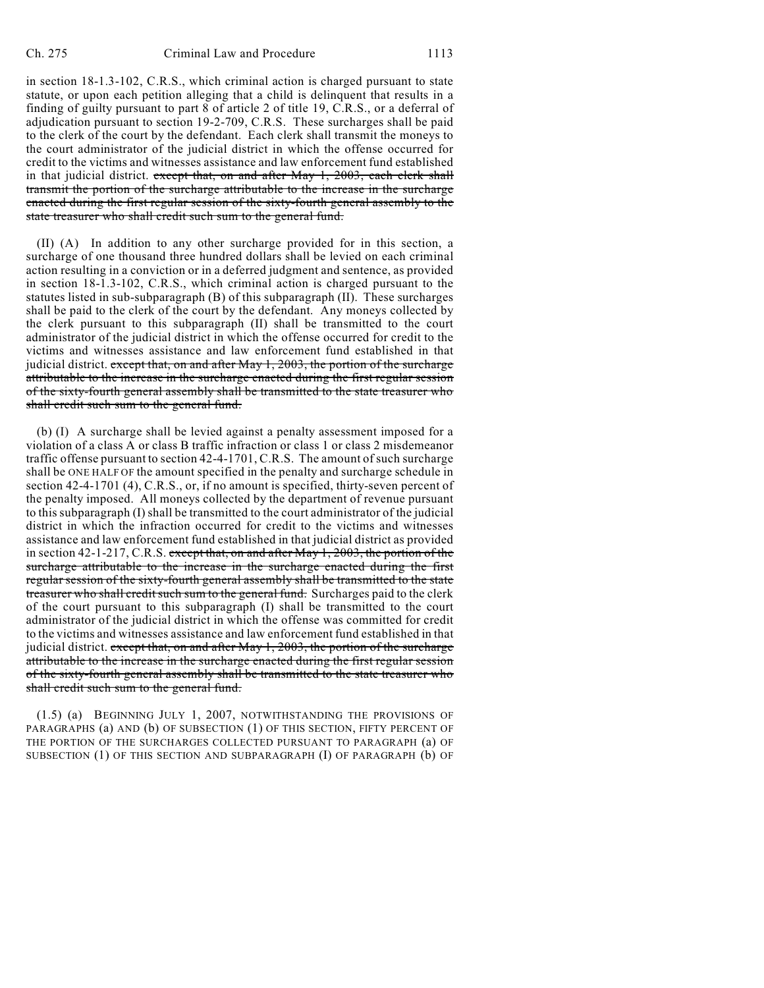in section 18-1.3-102, C.R.S., which criminal action is charged pursuant to state statute, or upon each petition alleging that a child is delinquent that results in a finding of guilty pursuant to part 8 of article 2 of title 19, C.R.S., or a deferral of adjudication pursuant to section 19-2-709, C.R.S. These surcharges shall be paid to the clerk of the court by the defendant. Each clerk shall transmit the moneys to the court administrator of the judicial district in which the offense occurred for credit to the victims and witnesses assistance and law enforcement fund established in that judicial district. except that, on and after May 1, 2003, each clerk shall transmit the portion of the surcharge attributable to the increase in the surcharge enacted during the first regular session of the sixty-fourth general assembly to the state treasurer who shall credit such sum to the general fund.

(II) (A) In addition to any other surcharge provided for in this section, a surcharge of one thousand three hundred dollars shall be levied on each criminal action resulting in a conviction or in a deferred judgment and sentence, as provided in section 18-1.3-102, C.R.S., which criminal action is charged pursuant to the statutes listed in sub-subparagraph (B) of this subparagraph (II). These surcharges shall be paid to the clerk of the court by the defendant. Any moneys collected by the clerk pursuant to this subparagraph (II) shall be transmitted to the court administrator of the judicial district in which the offense occurred for credit to the victims and witnesses assistance and law enforcement fund established in that judicial district. except that, on and after May 1, 2003, the portion of the surcharge attributable to the increase in the surcharge enacted during the first regular session of the sixty-fourth general assembly shall be transmitted to the state treasurer who shall credit such sum to the general fund.

(b) (I) A surcharge shall be levied against a penalty assessment imposed for a violation of a class A or class B traffic infraction or class 1 or class 2 misdemeanor traffic offense pursuant to section 42-4-1701, C.R.S. The amount of such surcharge shall be ONE HALF OF the amount specified in the penalty and surcharge schedule in section 42-4-1701 (4), C.R.S., or, if no amount is specified, thirty-seven percent of the penalty imposed. All moneys collected by the department of revenue pursuant to this subparagraph (I) shall be transmitted to the court administrator of the judicial district in which the infraction occurred for credit to the victims and witnesses assistance and law enforcement fund established in that judicial district as provided in section  $42-1-217$ , C.R.S. except that, on and after May 1, 2003, the portion of the surcharge attributable to the increase in the surcharge enacted during the first regular session of the sixty-fourth general assembly shall be transmitted to the state treasurer who shall credit such sum to the general fund. Surcharges paid to the clerk of the court pursuant to this subparagraph (I) shall be transmitted to the court administrator of the judicial district in which the offense was committed for credit to the victims and witnesses assistance and law enforcement fund established in that judicial district. except that, on and after May 1, 2003, the portion of the surcharge attributable to the increase in the surcharge enacted during the first regular session of the sixty-fourth general assembly shall be transmitted to the state treasurer who shall credit such sum to the general fund.

(1.5) (a) BEGINNING JULY 1, 2007, NOTWITHSTANDING THE PROVISIONS OF PARAGRAPHS (a) AND (b) OF SUBSECTION (1) OF THIS SECTION, FIFTY PERCENT OF THE PORTION OF THE SURCHARGES COLLECTED PURSUANT TO PARAGRAPH (a) OF SUBSECTION (1) OF THIS SECTION AND SUBPARAGRAPH (I) OF PARAGRAPH (b) OF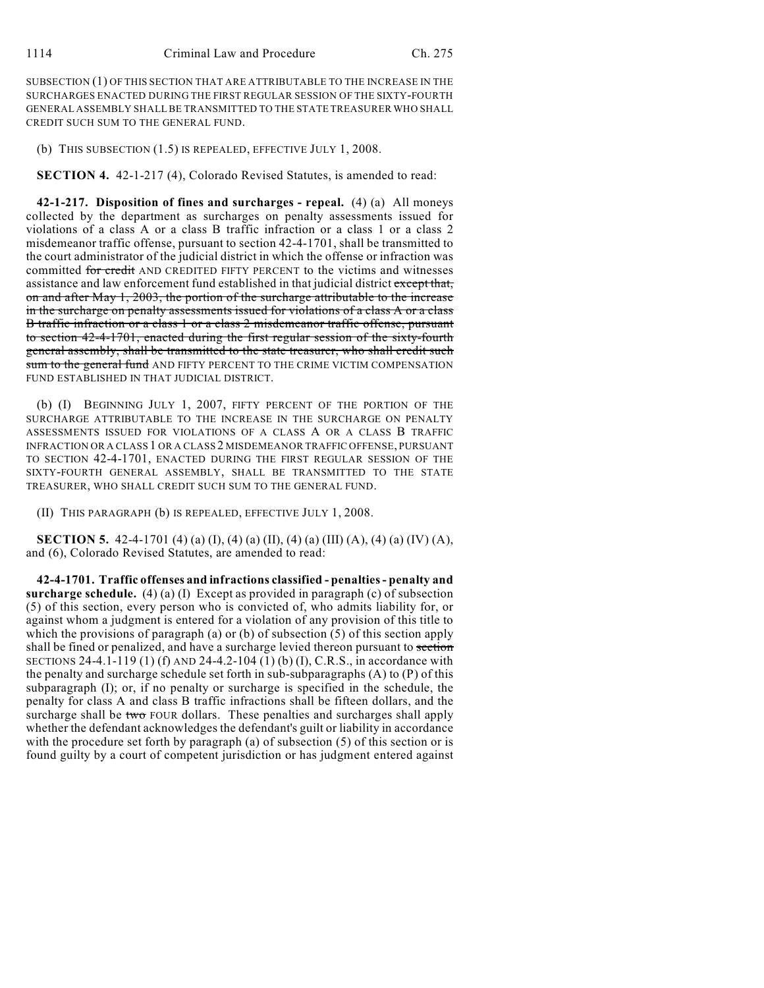SUBSECTION (1) OF THIS SECTION THAT ARE ATTRIBUTABLE TO THE INCREASE IN THE SURCHARGES ENACTED DURING THE FIRST REGULAR SESSION OF THE SIXTY-FOURTH GENERAL ASSEMBLY SHALL BE TRANSMITTED TO THE STATE TREASURER WHO SHALL CREDIT SUCH SUM TO THE GENERAL FUND.

(b) THIS SUBSECTION (1.5) IS REPEALED, EFFECTIVE JULY 1, 2008.

**SECTION 4.** 42-1-217 (4), Colorado Revised Statutes, is amended to read:

**42-1-217. Disposition of fines and surcharges - repeal.** (4) (a) All moneys collected by the department as surcharges on penalty assessments issued for violations of a class A or a class B traffic infraction or a class 1 or a class 2 misdemeanor traffic offense, pursuant to section 42-4-1701, shall be transmitted to the court administrator of the judicial district in which the offense or infraction was committed for credit AND CREDITED FIFTY PERCENT to the victims and witnesses assistance and law enforcement fund established in that judicial district except that, on and after May 1, 2003, the portion of the surcharge attributable to the increase in the surcharge on penalty assessments issued for violations of a class A or a class B traffic infraction or a class 1 or a class 2 misdemeanor traffic offense, pursuant to section 42-4-1701, enacted during the first regular session of the sixty-fourth general assembly, shall be transmitted to the state treasurer, who shall credit such sum to the general fund AND FIFTY PERCENT TO THE CRIME VICTIM COMPENSATION FUND ESTABLISHED IN THAT JUDICIAL DISTRICT.

(b) (I) BEGINNING JULY 1, 2007, FIFTY PERCENT OF THE PORTION OF THE SURCHARGE ATTRIBUTABLE TO THE INCREASE IN THE SURCHARGE ON PENALTY ASSESSMENTS ISSUED FOR VIOLATIONS OF A CLASS A OR A CLASS B TRAFFIC INFRACTION OR A CLASS 1 OR A CLASS 2 MISDEMEANOR TRAFFIC OFFENSE, PURSUANT TO SECTION 42-4-1701, ENACTED DURING THE FIRST REGULAR SESSION OF THE SIXTY-FOURTH GENERAL ASSEMBLY, SHALL BE TRANSMITTED TO THE STATE TREASURER, WHO SHALL CREDIT SUCH SUM TO THE GENERAL FUND.

(II) THIS PARAGRAPH (b) IS REPEALED, EFFECTIVE JULY 1, 2008.

**SECTION 5.** 42-4-1701 (4) (a) (I), (4) (a) (II), (4) (a) (III) (A), (4) (a) (IV) (A), and (6), Colorado Revised Statutes, are amended to read:

**42-4-1701. Traffic offenses and infractions classified - penalties - penalty and surcharge schedule.** (4) (a) (I) Except as provided in paragraph (c) of subsection (5) of this section, every person who is convicted of, who admits liability for, or against whom a judgment is entered for a violation of any provision of this title to which the provisions of paragraph (a) or (b) of subsection (5) of this section apply shall be fined or penalized, and have a surcharge levied thereon pursuant to section SECTIONS 24-4.1-119 (1) (f) AND 24-4.2-104 (1) (b) (I), C.R.S., in accordance with the penalty and surcharge schedule set forth in sub-subparagraphs (A) to (P) of this subparagraph (I); or, if no penalty or surcharge is specified in the schedule, the penalty for class A and class B traffic infractions shall be fifteen dollars, and the surcharge shall be two FOUR dollars. These penalties and surcharges shall apply whether the defendant acknowledges the defendant's guilt or liability in accordance with the procedure set forth by paragraph (a) of subsection (5) of this section or is found guilty by a court of competent jurisdiction or has judgment entered against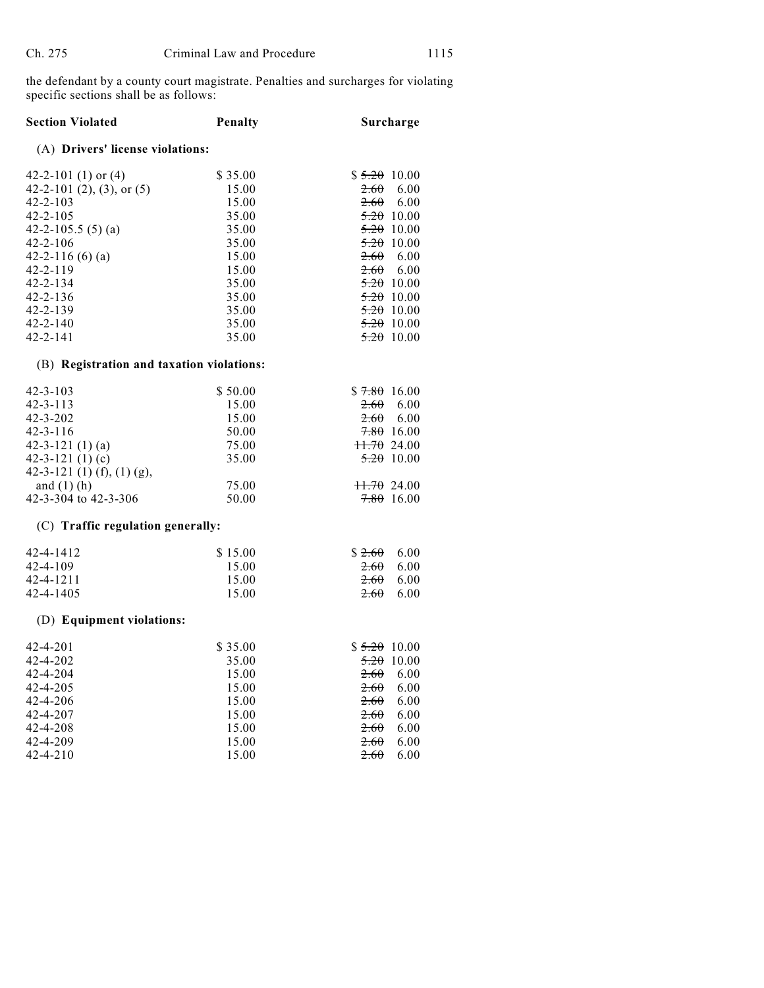the defendant by a county court magistrate. Penalties and surcharges for violating specific sections shall be as follows:

| <b>Section Violated</b>                                                                                                                                                                            | Penalty                                                                                  | Surcharge                                                                                                                                                           |
|----------------------------------------------------------------------------------------------------------------------------------------------------------------------------------------------------|------------------------------------------------------------------------------------------|---------------------------------------------------------------------------------------------------------------------------------------------------------------------|
| (A) Drivers' license violations:                                                                                                                                                                   |                                                                                          |                                                                                                                                                                     |
| 42-2-101 $(1)$ or $(4)$<br>42-2-101 (2), (3), or $(5)$<br>$42 - 2 - 103$<br>42-2-105<br>42-2-105.5 $(5)(a)$<br>$42 - 2 - 106$<br>42-2-116 $(6)(a)$<br>$42 - 2 - 119$<br>42-2-134<br>$42 - 2 - 136$ | \$35.00<br>15.00<br>15.00<br>35.00<br>35.00<br>35.00<br>15.00<br>15.00<br>35.00<br>35.00 | $$5.20$ 10.00<br>2.60<br>6.00<br>2.60<br>6.00<br>5.2010.00<br><del>5.20</del> 10.00<br>$5.20$ 10.00<br>2.60<br>-6.00<br>$2.60$ 6.00<br>$5.20$ 10.00<br>$5.20$ 10.00 |
| 42-2-139                                                                                                                                                                                           | 35.00                                                                                    | $5.20$ 10.00                                                                                                                                                        |
| $42 - 2 - 140$<br>$42 - 2 - 141$                                                                                                                                                                   | 35.00<br>35.00                                                                           | $5.20$ 10.00<br>5.2010.00                                                                                                                                           |
| (B) Registration and taxation violations:                                                                                                                                                          |                                                                                          |                                                                                                                                                                     |
| $42 - 3 - 103$<br>$42 - 3 - 113$<br>$42 - 3 - 202$<br>$42 - 3 - 116$<br>$42 - 3 - 121$ (1) (a)<br>42-3-121 $(1)(c)$<br>42-3-121 $(1)$ $(f)$ , $(1)$ $(g)$ ,<br>and $(1)$ (h)                       | \$50.00<br>15.00<br>15.00<br>50.00<br>75.00<br>35.00<br>75.00                            | $$7.80$ 16.00<br>2.60<br>6.00<br>2.60<br>6.00<br>$7.80$ 16.00<br>11.7024.00<br>$\frac{5.20}{10.00}$<br>$+1.7024.00$                                                 |
| 42-3-304 to 42-3-306                                                                                                                                                                               | 50.00                                                                                    | $7.80$ 16.00                                                                                                                                                        |
| (C) Traffic regulation generally:                                                                                                                                                                  |                                                                                          |                                                                                                                                                                     |
| 42-4-1412<br>$42 - 4 - 109$<br>42-4-1211<br>42-4-1405                                                                                                                                              | \$15.00<br>15.00<br>15.00<br>15.00                                                       | \$2.60<br>6.00<br>2.60<br>6.00<br>2.60<br>6.00<br>2.60<br>6.00                                                                                                      |
| (D) Equipment violations:                                                                                                                                                                          |                                                                                          |                                                                                                                                                                     |
| $42 - 4 - 201$<br>42-4-202<br>42-4-204<br>42-4-205<br>$42 - 4 - 206$<br>42-4-207                                                                                                                   | \$35.00<br>35.00<br>15.00<br>15.00<br>15.00<br>15.00                                     | $$5.20$ 10.00<br>5.2010.00<br>2.60<br>6.00<br>2.60<br>6.00<br>2.60<br>6.00<br>6.00<br>2.60                                                                          |
| $42 - 4 - 208$                                                                                                                                                                                     | 15.00                                                                                    | 6.00<br>2.60                                                                                                                                                        |
| 42-4-209<br>$42 - 4 - 210$                                                                                                                                                                         | 15.00<br>15.00                                                                           | 6.00<br>2.60<br>2.60<br>6.00                                                                                                                                        |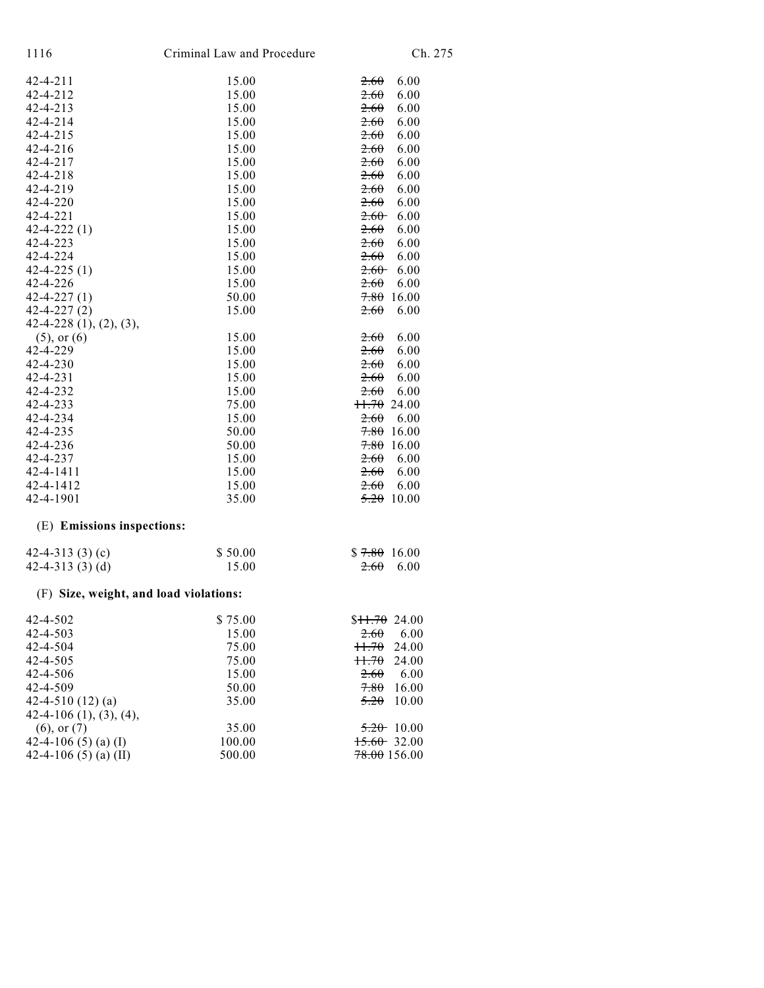| 1116                                   | Criminal Law and Procedure | Ch. 275                   |
|----------------------------------------|----------------------------|---------------------------|
| 42-4-211                               | 15.00                      | 2.60<br>6.00              |
| 42-4-212                               | 15.00                      | 2.60<br>6.00              |
| $42 - 4 - 213$                         | 15.00                      | 2.60<br>6.00              |
| 42-4-214                               | 15.00                      | 2.60<br>6.00              |
| $42 - 4 - 215$                         | 15.00                      | 6.00<br>2.60              |
| 42-4-216                               | 15.00                      | 2.60<br>6.00              |
| 42-4-217                               | 15.00                      | 6.00<br>2.60              |
| $42 - 4 - 218$                         | 15.00                      | 2.60<br>6.00              |
| 42-4-219                               | 15.00                      | 2.60<br>6.00              |
| 42-4-220                               | 15.00                      | 6.00<br>2.60              |
| 42-4-221                               | 15.00                      | 2.60<br>6.00              |
| $42 - 4 - 222(1)$                      | 15.00                      | 2.60<br>6.00              |
| 42-4-223                               | 15.00                      | 2.60<br>6.00              |
| 42-4-224                               | 15.00                      | 6.00<br>2.60              |
| $42 - 4 - 225(1)$                      | 15.00                      | 6.00<br>$2.60 -$          |
| 42-4-226                               | 15.00                      | 2.60<br>6.00              |
| $42 - 4 - 227(1)$                      | 50.00                      | 7.80<br>16.00             |
| $42 - 4 - 227(2)$                      | 15.00                      | 2.60<br>6.00              |
| $42-4-228$ $(1), (2), (3),$            |                            |                           |
| $(5)$ , or $(6)$                       | 15.00                      | 2.60<br>6.00              |
| 42-4-229                               | 15.00                      | 2.60<br>6.00              |
| 42-4-230                               | 15.00                      | 2.60<br>6.00              |
| 42-4-231                               | 15.00                      | 2.60<br>6.00              |
| 42-4-232                               | 15.00                      | 6.00<br>2.60              |
| 42-4-233                               | 75.00                      | 11.7024.00                |
| 42-4-234                               | 15.00                      | 2.60<br>6.00              |
| 42-4-235                               | 50.00                      | 7.80<br>16.00             |
| 42-4-236                               | 50.00                      | $7.80$ 16.00              |
| 42-4-237                               | 15.00                      | 2.60<br>6.00              |
| 42-4-1411                              | 15.00                      | 2.60<br>6.00              |
| 42-4-1412                              | 15.00                      | 2.60<br>6.00              |
| 42-4-1901                              | 35.00                      | 5.2010.00                 |
| (E) Emissions inspections:             |                            |                           |
| 42-4-313 $(3)(c)$                      | \$50.00                    | $$7.80$ 16.00             |
| 42-4-313 $(3)$ $(d)$                   | 15.00                      | 6.00<br>2.60              |
| (F) Size, weight, and load violations: |                            |                           |
| 42-4-502                               | \$75.00                    | \$ <del>11.70</del> 24.00 |
| 42-4-503                               | 15.00                      | 2.60<br>6.00              |
| 42-4-504                               | 75.00                      | H.70<br>24.00             |
| 42-4-505                               | 75.00                      | H.70<br>24.00             |
| 42-4-506                               | 15.00                      | 6.00<br>2.60              |
| 42-4-509                               | 50.00                      | 7.80<br>16.00             |
| 42-4-510 $(12)(a)$                     | 35.00                      | 5.20<br>10.00             |
| $42-4-106$ $(1), (3), (4),$            |                            |                           |
| $(6)$ , or $(7)$                       | 35.00                      | $5.20$ 10.00              |
| 42-4-106 (5) (a) (I)                   | 100.00                     | $15.60$ 32.00             |
| 42-4-106 (5) (a) (II)                  | 500.00                     | 78.00156.00               |
|                                        |                            |                           |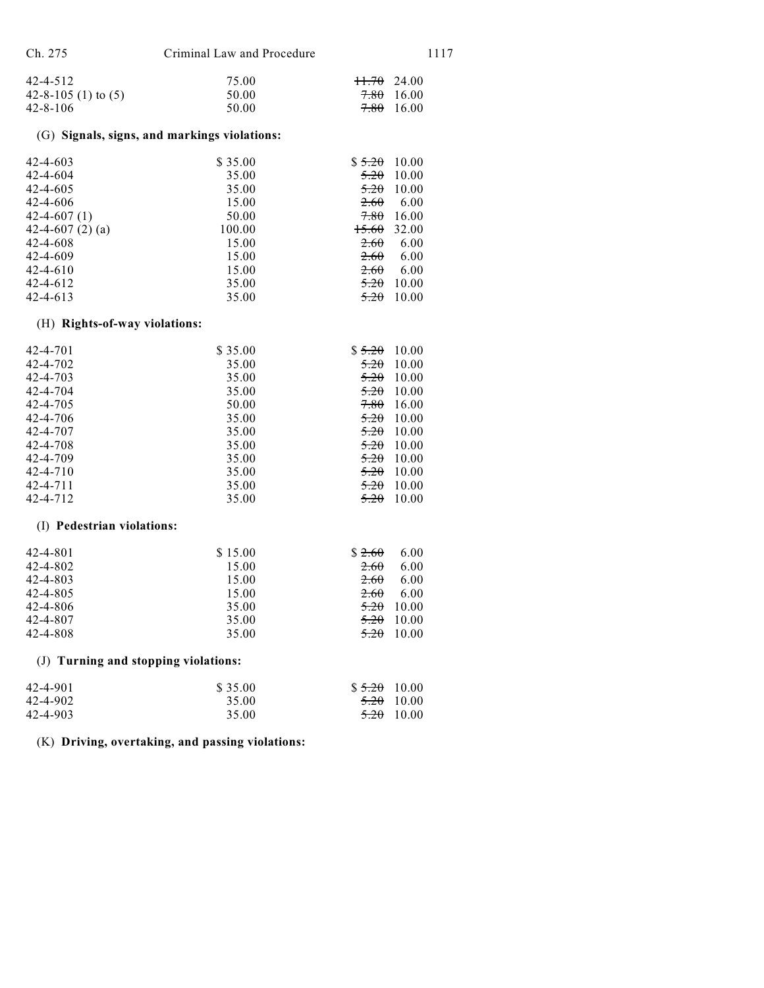| Ch. 275 | Criminal Law and Procedure | 1117 |
|---------|----------------------------|------|
|         |                            |      |

| 42-4-512            | 75.00 | <del>11.70</del> 24.00 |
|---------------------|-------|------------------------|
| 42-8-105 (1) to (5) | 50.00 | <del>7.80</del> 16.00  |
| 42-8-106            | 50.00 | <del>7.80</del> 16.00  |

## (G) **Signals, signs, and markings violations:**

| $42 - 4 - 603$       | \$35.00 | 10.00<br>\$5.20 |
|----------------------|---------|-----------------|
| $42 - 4 - 604$       | 35.00   | 5.20<br>10.00   |
| $42 - 4 - 605$       | 35.00   | 5.20<br>10.00   |
| $42 - 4 - 606$       | 15.00   | 2.60<br>6.00    |
| $42 - 4 - 607(1)$    | 50.00   | 7.80<br>16.00   |
| 42-4-607 $(2)$ $(a)$ | 100.00  | 15.60<br>32.00  |
| $42 - 4 - 608$       | 15.00   | 2.60<br>6.00    |
| 42-4-609             | 15.00   | 2.60<br>6.00    |
| $42 - 4 - 610$       | 15.00   | 2.60<br>6.00    |
| $42 - 4 - 612$       | 35.00   | 5.20<br>10.00   |
| $42 - 4 - 613$       | 35.00   | 5.20<br>10.00   |

## (H) **Rights-of-way violations:**

| $42 - 4 - 701$ | \$35.00 | \$5.20<br>10.00 |
|----------------|---------|-----------------|
| 42-4-702       | 35.00   | 5.20<br>10.00   |
| 42-4-703       | 35.00   | 5.20<br>10.00   |
| 42-4-704       | 35.00   | 5.20<br>10.00   |
| 42-4-705       | 50.00   | 7.80<br>16.00   |
| 42-4-706       | 35.00   | 5.20<br>10.00   |
| 42-4-707       | 35.00   | 5.20<br>10.00   |
| 42-4-708       | 35.00   | 5.20<br>10.00   |
| 42-4-709       | 35.00   | 10.00<br>5.20   |
| $42 - 4 - 710$ | 35.00   | 5.20<br>10.00   |
| 42-4-711       | 35.00   | 5.20<br>10.00   |
| 42-4-712       | 35.00   | 5.20<br>10.00   |

#### (I) **Pedestrian violations:**

| 42-4-801 | \$15.00 | \$2.60<br>6.00      |
|----------|---------|---------------------|
| 42-4-802 | 15.00   | 2.60<br>6.00        |
| 42-4-803 | 15.00   | 2.60<br>6.00        |
| 42-4-805 | 15.00   | 2.60<br>6.00        |
| 42-4-806 | 35.00   | $\frac{5.20}{0.00}$ |
| 42-4-807 | 35.00   | $\frac{5.20}{0.00}$ |
| 42-4-808 | 35.00   | 5.20<br>- 10.00     |

## (J) **Turning and stopping violations:**

| 42-4-901 | \$35.00 | $$5.20$ 10.00         |
|----------|---------|-----------------------|
| 42-4-902 | 35.00   | <del>5.20</del> 10.00 |
| 42-4-903 | 35.00   | <del>5.20</del> 10.00 |

(K) **Driving, overtaking, and passing violations:**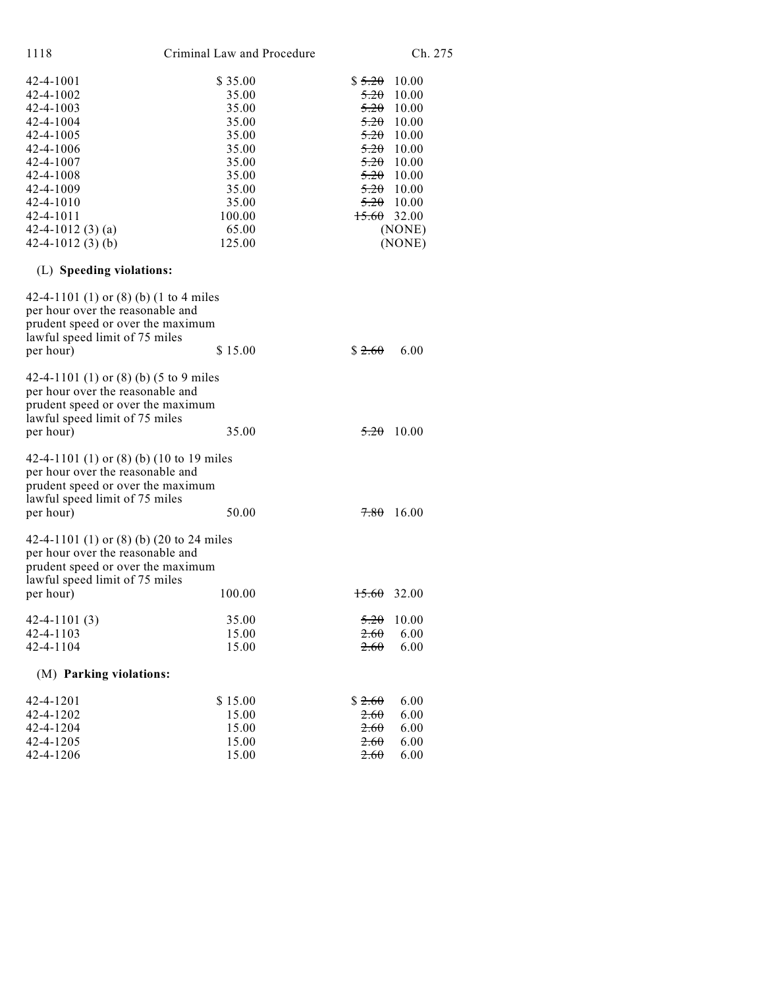| 1118                    | Criminal Law and Procedure |        | Ch. 275 |
|-------------------------|----------------------------|--------|---------|
| 42-4-1001               | \$35.00                    | \$5.20 | 10.00   |
| 42-4-1002               | 35.00                      | 5.20   | 10.00   |
| 42-4-1003               | 35.00                      | 5.20   | 10.00   |
| 42-4-1004               | 35.00                      | 5.20   | 10.00   |
| 42-4-1005               | 35.00                      | 5.20   | 10.00   |
| 42-4-1006               | 35.00                      | 5.20   | 10.00   |
| 42-4-1007               | 35.00                      | 5.20   | 10.00   |
| 42-4-1008               | 35.00                      | 5.20   | 10.00   |
| 42-4-1009               | 35.00                      | 5.20   | 10.00   |
| 42-4-1010               | 35.00                      | 5.20   | 10.00   |
| 42-4-1011               | 100.00                     | 15.60  | 32.00   |
| 42-4-1012 $(3)$ $(a)$   | 65.00                      |        | (NONE)  |
| $42 - 4 - 1012$ (3) (b) | 125.00                     |        | (NONE)  |
|                         |                            |        |         |

# (L) **Speeding violations:**

| 42-4-1101 (1) or (8) (b) (1 to 4 miles<br>per hour over the reasonable and<br>prudent speed or over the maximum<br>lawful speed limit of 75 miles<br>per hour)   | \$15.00                 | \$2.60                 | 6.00                  |
|------------------------------------------------------------------------------------------------------------------------------------------------------------------|-------------------------|------------------------|-----------------------|
| 42-4-1101 (1) or (8) (b) (5 to 9 miles<br>per hour over the reasonable and<br>prudent speed or over the maximum<br>lawful speed limit of 75 miles<br>per hour)   | 35.00                   | 5.20                   | 10.00                 |
| 42-4-1101 (1) or (8) (b) (10 to 19 miles<br>per hour over the reasonable and<br>prudent speed or over the maximum<br>lawful speed limit of 75 miles<br>per hour) | 50.00                   | 7.80                   | 16.00                 |
| 42-4-1101 (1) or (8) (b) (20 to 24 miles<br>per hour over the reasonable and<br>prudent speed or over the maximum<br>lawful speed limit of 75 miles<br>per hour) | 100.00                  | <del>15.60</del> 32.00 |                       |
| $42 - 4 - 1101(3)$<br>$42 - 4 - 1103$<br>42-4-1104                                                                                                               | 35.00<br>15.00<br>15.00 | 5.20<br>2.60<br>2.60   | 10.00<br>6.00<br>6.00 |
| (M) Parking violations:                                                                                                                                          |                         |                        |                       |
| 42-4-1201<br>42-4-1202                                                                                                                                           | \$15.00<br>15.00        | \$2.60<br>2.60         | 6.00<br>6.00          |
| 42-4-1204                                                                                                                                                        | 15.00                   | 2.60                   | 6.00                  |

 $42-4-1205$   $15.00$   $2.60$   $6.00$  $42-4-1206$   $15.00$   $2.60$   $6.00$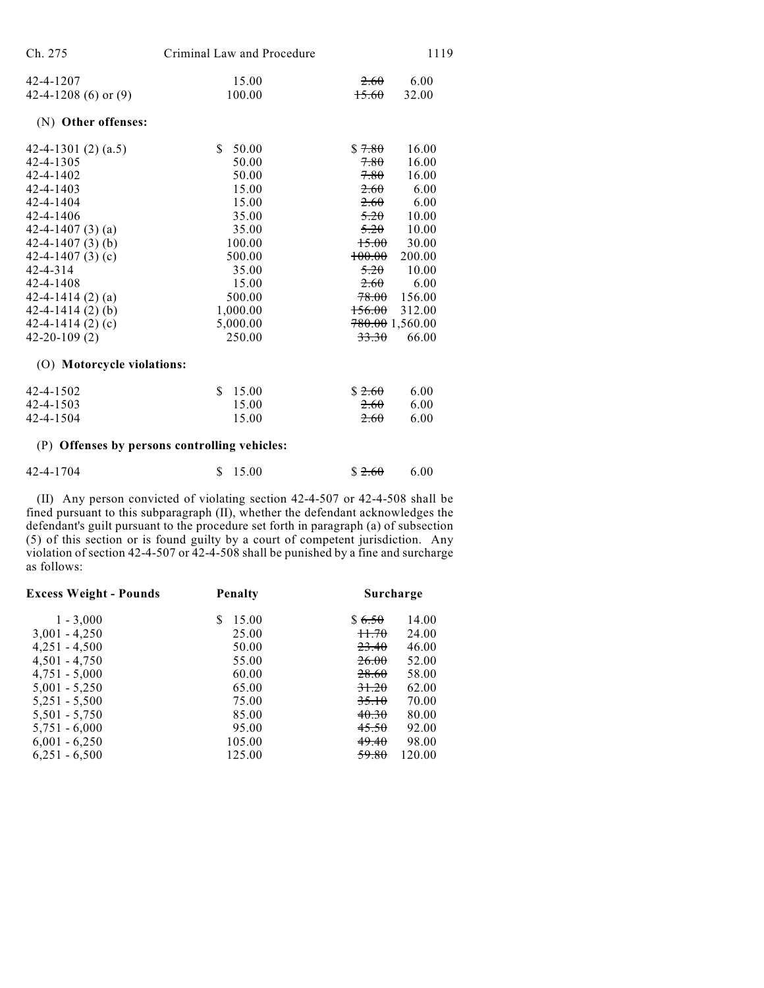| Ch. 275                    | Criminal Law and Procedure                    |                   | 1119            |
|----------------------------|-----------------------------------------------|-------------------|-----------------|
| 42-4-1207                  | 15.00                                         | 2.60              | 6.00            |
| 42-4-1208 (6) or $(9)$     | 100.00                                        | 15.60             | 32.00           |
| (N) Other offenses:        |                                               |                   |                 |
| 42-4-1301 $(2)$ $(a.5)$    | \$.<br>50.00                                  | \$7.80            | 16.00           |
| 42-4-1305                  | 50.00                                         | 7.80              | 16.00           |
| 42-4-1402                  | 50.00                                         | 7.80              | 16.00           |
| $42 - 4 - 1403$            | 15.00                                         | 2.60              | 6.00            |
| 42-4-1404                  | 15.00                                         | 2.60              | 6.00            |
| $42 - 4 - 1406$            | 35.00                                         | 5.20              | 10.00           |
| 42-4-1407 $(3)(a)$         | 35.00                                         | 5.20              | 10.00           |
| 42-4-1407 $(3)$ $(b)$      | 100.00                                        | 15.00             | 30.00           |
| 42-4-1407 $(3)$ $(c)$      | 500.00                                        | <del>100.00</del> | 200.00          |
| $42 - 4 - 314$             | 35.00                                         | 5.20              | 10.00           |
| 42-4-1408                  | 15.00                                         | 2.60              | 6.00            |
| 42-4-1414 $(2)$ $(a)$      | 500.00                                        | <del>78.00</del>  | 156.00          |
| $42 - 4 - 1414(2)$ (b)     | 1,000.00                                      | <del>156.00</del> | 312.00          |
| 42-4-1414 $(2)$ $(c)$      | 5,000.00                                      |                   | 780.00 1,560.00 |
| $42 - 20 - 109(2)$         | 250.00                                        | 33.30             | 66.00           |
| (O) Motorcycle violations: |                                               |                   |                 |
| 42-4-1502                  | S.<br>15.00                                   | \$2.60            | 6.00            |
| $42 - 4 - 1503$            | 15.00                                         | 2.60              | 6.00            |
| 42-4-1504                  | 15.00                                         | 2.60              | 6.00            |
|                            | (P) Offenses by persons controlling vehicles: |                   |                 |

| 42-4-1704 | \$15.00 | $$2.60$ 6.00 |  |
|-----------|---------|--------------|--|

(II) Any person convicted of violating section 42-4-507 or 42-4-508 shall be fined pursuant to this subparagraph (II), whether the defendant acknowledges the defendant's guilt pursuant to the procedure set forth in paragraph (a) of subsection (5) of this section or is found guilty by a court of competent jurisdiction. Any violation of section 42-4-507 or 42-4-508 shall be punished by a fine and surcharge as follows:

| <b>Excess Weight - Pounds</b> | <b>Penalty</b> | Surcharge                 |
|-------------------------------|----------------|---------------------------|
| $1 - 3,000$                   | 15.00<br>S     | \$6.50<br>14.00           |
| $3,001 - 4,250$               | 25.00          | 11.70<br>24.00            |
| $4,251 - 4,500$               | 50.00          | <del>23.40</del><br>46.00 |
| $4,501 - 4,750$               | 55.00          | <del>26.00</del><br>52.00 |
| $4,751 - 5,000$               | 60.00          | <del>28.60</del><br>58.00 |
| $5,001 - 5,250$               | 65.00          | 31.20<br>62.00            |
| $5,251 - 5,500$               | 75.00          | 35.10<br>70.00            |
| $5,501 - 5,750$               | 85.00          | 40.30<br>80.00            |
| $5,751 - 6,000$               | 95.00          | 45.50<br>92.00            |
| $6,001 - 6,250$               | 105.00         | 49.40<br>98.00            |
| $6,251 - 6,500$               | 125.00         | 59.80<br>120.00           |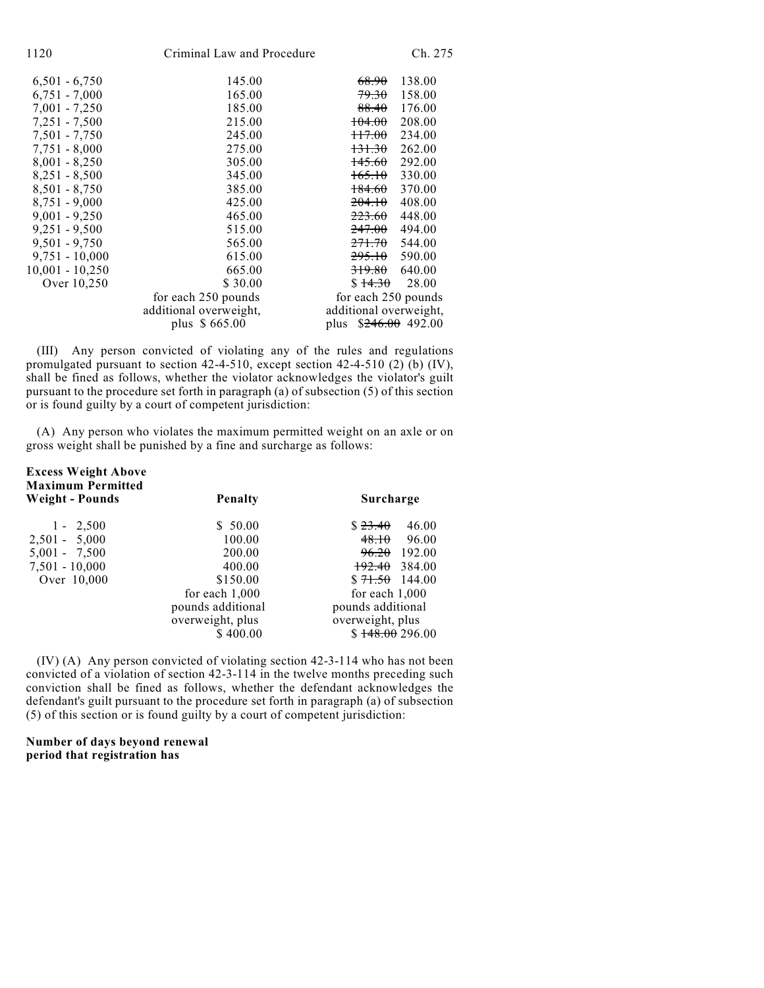| 1120              | Criminal Law and Procedure | Ch. 275                     |
|-------------------|----------------------------|-----------------------------|
| $6,501 - 6,750$   | 145.00                     | 138.00<br>68.90             |
| $6,751 - 7,000$   | 165.00                     | 79.30<br>158.00             |
| $7,001 - 7,250$   | 185.00                     | 88.40<br>176.00             |
| 7,251 - 7,500     | 215.00                     | 208.00<br><del>104.00</del> |
| $7,501 - 7,750$   | 245.00                     | <del>117.00</del><br>234.00 |
| $7,751 - 8,000$   | 275.00                     | <del>131.30</del><br>262.00 |
| $8,001 - 8,250$   | 305.00                     | $+45.60$<br>292.00          |
| $8,251 - 8,500$   | 345.00                     | 165.10<br>330.00            |
| $8,501 - 8,750$   | 385.00                     | 370.00<br>184.60            |
| $8,751 - 9,000$   | 425.00                     | 408.00<br>204.10            |
| $9,001 - 9,250$   | 465.00                     | 448.00<br>223.60            |
| $9,251 - 9,500$   | 515.00                     | <del>247.00</del><br>494.00 |
| $9,501 - 9,750$   | 565.00                     | <del>271.70</del><br>544.00 |
| $9,751 - 10,000$  | 615.00                     | 590.00<br>295.10            |
| $10,001 - 10,250$ | 665.00                     | 640.00<br><del>319.80</del> |
| Over 10,250       | \$30.00                    | 28.00<br>\$14.30            |
|                   | for each 250 pounds        | for each 250 pounds         |
|                   | additional overweight,     | additional overweight,      |
|                   | plus \$665.00              | $$246.00$ 492.00<br>plus    |
|                   |                            |                             |

(III) Any person convicted of violating any of the rules and regulations promulgated pursuant to section 42-4-510, except section 42-4-510 (2) (b) (IV), shall be fined as follows, whether the violator acknowledges the violator's guilt pursuant to the procedure set forth in paragraph (a) of subsection (5) of this section or is found guilty by a court of competent jurisdiction:

(A) Any person who violates the maximum permitted weight on an axle or on gross weight shall be punished by a fine and surcharge as follows:

| <b>Excess Weight Above</b><br><b>Maximum Permitted</b><br>Weight - Pounds | <b>Penalty</b>    | Surcharge                |
|---------------------------------------------------------------------------|-------------------|--------------------------|
| $1 - 2,500$                                                               | \$50.00           | \$23.40<br>46.00         |
| $2,501 - 5,000$                                                           | 100.00            | 48.10<br>96.00           |
| $5,001 - 7,500$                                                           | 200.00            | $96.20$ 192.00           |
| $7,501 - 10,000$                                                          | 400.00            | <del>192.40</del> 384.00 |
| Over 10,000                                                               | \$150.00          | $$71.50$ 144.00          |
|                                                                           | for each $1,000$  | for each $1,000$         |
|                                                                           | pounds additional | pounds additional        |
|                                                                           | overweight, plus  | overweight, plus         |
|                                                                           | \$400.00          | \$148.00296.00           |

(IV) (A) Any person convicted of violating section 42-3-114 who has not been convicted of a violation of section 42-3-114 in the twelve months preceding such conviction shall be fined as follows, whether the defendant acknowledges the defendant's guilt pursuant to the procedure set forth in paragraph (a) of subsection (5) of this section or is found guilty by a court of competent jurisdiction:

**Number of days beyond renewal period that registration has**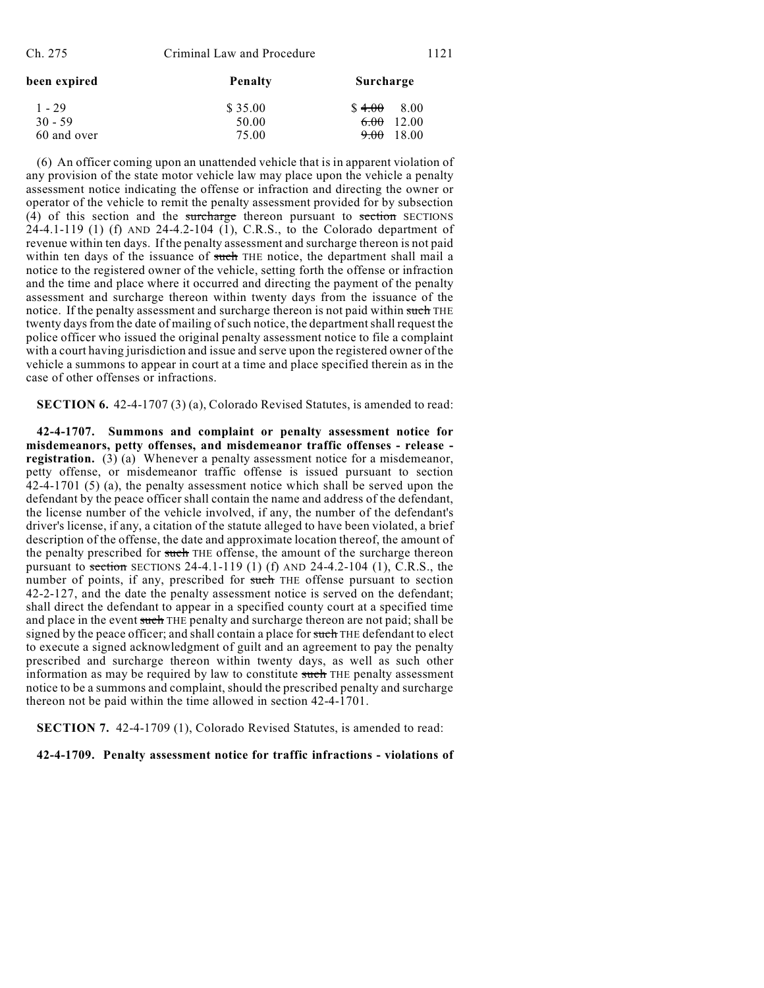| been expired | <b>Penalty</b> | Surcharge             |
|--------------|----------------|-----------------------|
| $1 - 29$     | \$35.00        | \$4.00<br>8.00        |
| $30 - 59$    | 50.00          | 6.00 12.00            |
| 60 and over  | 75.00          | <del>9.00</del> 18.00 |

(6) An officer coming upon an unattended vehicle that is in apparent violation of any provision of the state motor vehicle law may place upon the vehicle a penalty assessment notice indicating the offense or infraction and directing the owner or operator of the vehicle to remit the penalty assessment provided for by subsection (4) of this section and the surcharge thereon pursuant to section SECTIONS 24-4.1-119 (1) (f) AND 24-4.2-104 (1), C.R.S., to the Colorado department of revenue within ten days. If the penalty assessment and surcharge thereon is not paid within ten days of the issuance of such THE notice, the department shall mail a notice to the registered owner of the vehicle, setting forth the offense or infraction and the time and place where it occurred and directing the payment of the penalty assessment and surcharge thereon within twenty days from the issuance of the notice. If the penalty assessment and surcharge thereon is not paid within such THE twenty days from the date of mailing of such notice, the department shall request the police officer who issued the original penalty assessment notice to file a complaint with a court having jurisdiction and issue and serve upon the registered owner of the vehicle a summons to appear in court at a time and place specified therein as in the case of other offenses or infractions.

**SECTION 6.** 42-4-1707 (3) (a), Colorado Revised Statutes, is amended to read:

**42-4-1707. Summons and complaint or penalty assessment notice for misdemeanors, petty offenses, and misdemeanor traffic offenses - release registration.** (3) (a) Whenever a penalty assessment notice for a misdemeanor, petty offense, or misdemeanor traffic offense is issued pursuant to section 42-4-1701 (5) (a), the penalty assessment notice which shall be served upon the defendant by the peace officer shall contain the name and address of the defendant, the license number of the vehicle involved, if any, the number of the defendant's driver's license, if any, a citation of the statute alleged to have been violated, a brief description of the offense, the date and approximate location thereof, the amount of the penalty prescribed for such THE offense, the amount of the surcharge thereon pursuant to section SECTIONS 24-4.1-119 (1) (f) AND 24-4.2-104 (1), C.R.S., the number of points, if any, prescribed for such THE offense pursuant to section 42-2-127, and the date the penalty assessment notice is served on the defendant; shall direct the defendant to appear in a specified county court at a specified time and place in the event such THE penalty and surcharge thereon are not paid; shall be signed by the peace officer; and shall contain a place for such THE defendant to elect to execute a signed acknowledgment of guilt and an agreement to pay the penalty prescribed and surcharge thereon within twenty days, as well as such other information as may be required by law to constitute such THE penalty assessment notice to be a summons and complaint, should the prescribed penalty and surcharge thereon not be paid within the time allowed in section 42-4-1701.

**SECTION 7.** 42-4-1709 (1), Colorado Revised Statutes, is amended to read:

**42-4-1709. Penalty assessment notice for traffic infractions - violations of**